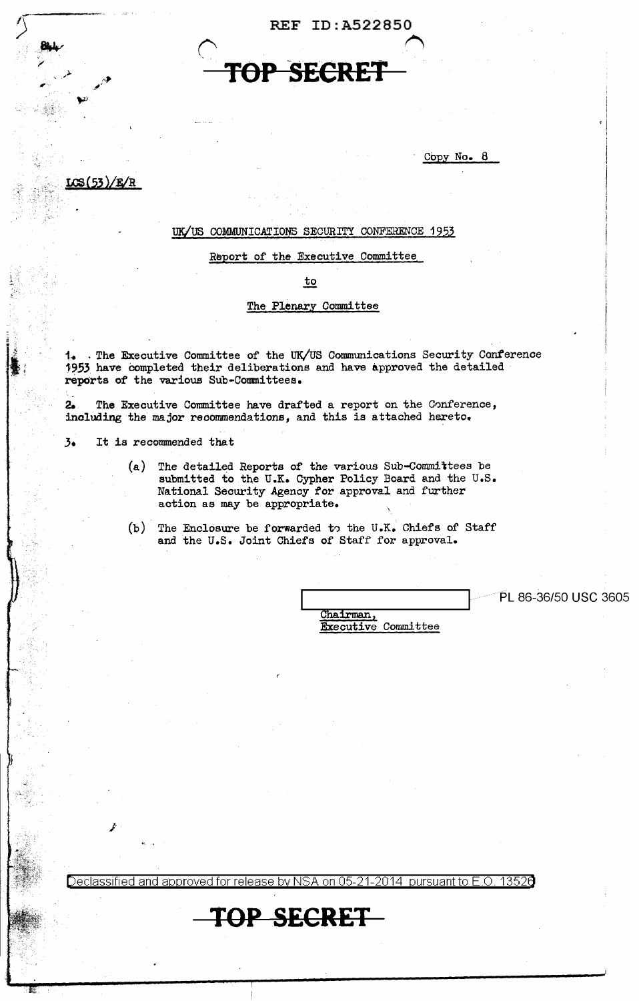REF ID:A522850

# *('* <sup>~</sup> SECRE<sup>1</sup>

Copy No. 8

# UK/US COMMUNICATIONS SECURITY CONFERENCE 1953

### Report of the Executive Committee

to

# The Plenary Committee

1. The Executive Committee of the UK/US Communications Security Conference 1953 have Completed their deliberations and have approved the detailed rep0rts of the various Sub-Committees.

2. The Executive Committee have drafted a report on the Conference, including the major recommendations, and this is attached hereto.

3• It is recommended that

*j·* 

. .

. LC\${53 )/F/R

- (a) The detailed Reports of the various Sub-Committees be submitted to the U.K. Cypher Policy Board and the U.S. National Security Agency for approval and further action as may be appropriate.
- $(b)$  The Enclosure be forwarded to the U.K. Chiefs of Staff and the U.S. Joint Chiefs of Staff for approval.

PL 86-36/50 USC 3605

Chairman,<br>Executive Committee

Declassified and approved for release by NSA on 05-21-2014 pursuant to E.O. 1352e

# **TOP SECRET**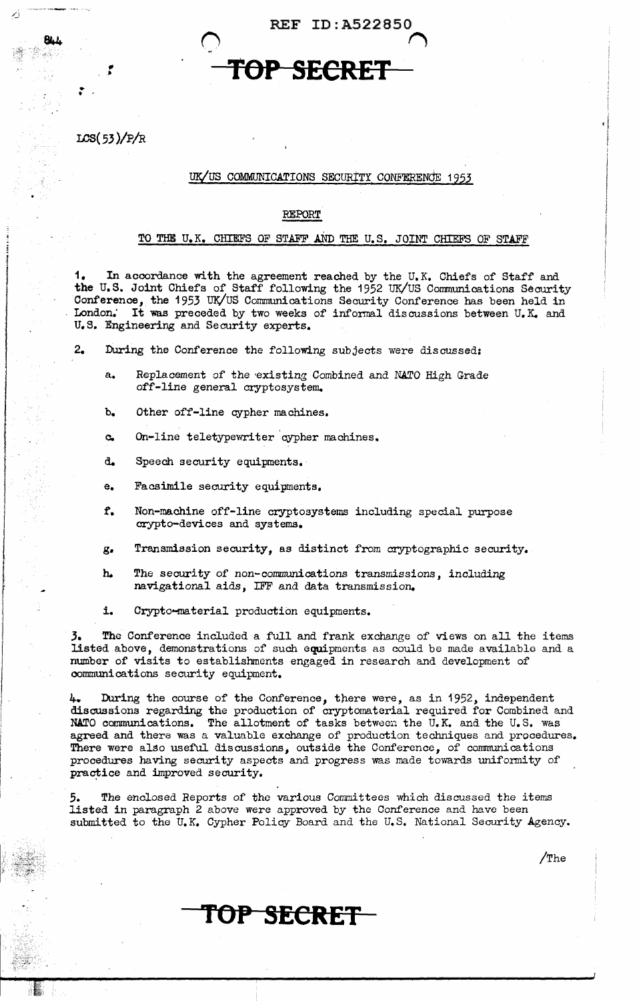REF ID:A522850

 $\bigcap$ 

# **TOP SECRET**

LCS(53)/P/R

fl •

 $\mathbf{r}$ 

# UK/US COMMUNICATIONS SECURITY CONFERENCE 1953

# REPORT

# TO THE U.K. CHIEFS OF STAFF AND THE U.S. JOINT CHIEFS OF STAFF

1. In accordance with the agreement reached by the U.K. Chiefs of Staff and tne U.S. Joint Chiefs of Staff following the 1952 UK/US Communications Security Conference, the 1953 UK/US Communications Security Conference has been held in London. It was preceded by two weeks of informal discussions between U.K. and U.S. Engineering and Security experts.

- 2. During the Conference the following subjects were discussed:
	- a. Replacement of the existing Combined and NATO High Grade off-line general cryptosystem.
	- b. Other off-line cypher machines.
	- c. On-line teletypewriter 'cypher machines.
	- d.. Speech security equipments. ·
	- e. Facsimile security equipments.
	- *t.* Non-machine off-line cryptosystems including special purpose crypto-devices and systems.
	- g. Transmission security, as distinct from cryptographic security.
	- h. The security of non-communications transmissions, including navigational aids, IFF and data transmission.
	- i. Crypto-material production equipments.

3. The Conference included a full and frank exchange of views on all the items listed above, demonstrations of such equipments as could be made available and a number of visits to establishments engaged in research and development of communications security equipment.

4. During the course of the Conference, there were, as in 1952, independent discussions regarding the production of cryptomaterial required for Combined and NATO communications. The allotment of tasks between the  $\bar{U}_nK$ , and the U.S. was agreed and there was a valuable exchange of production techniques and procedures. There were also useful discussions, outside the Conference, of communications procedures having security aspects and progress was made towards uniformity of practice and improved security.

*5.* The enclosed Reports of the various Committees which discussed the items listed in paragraph 2 above were approved by the Conference and have been submitted to the U.K. Cypher Policy Board and the U.S. National Security Agency.

/The

TOP SECRET-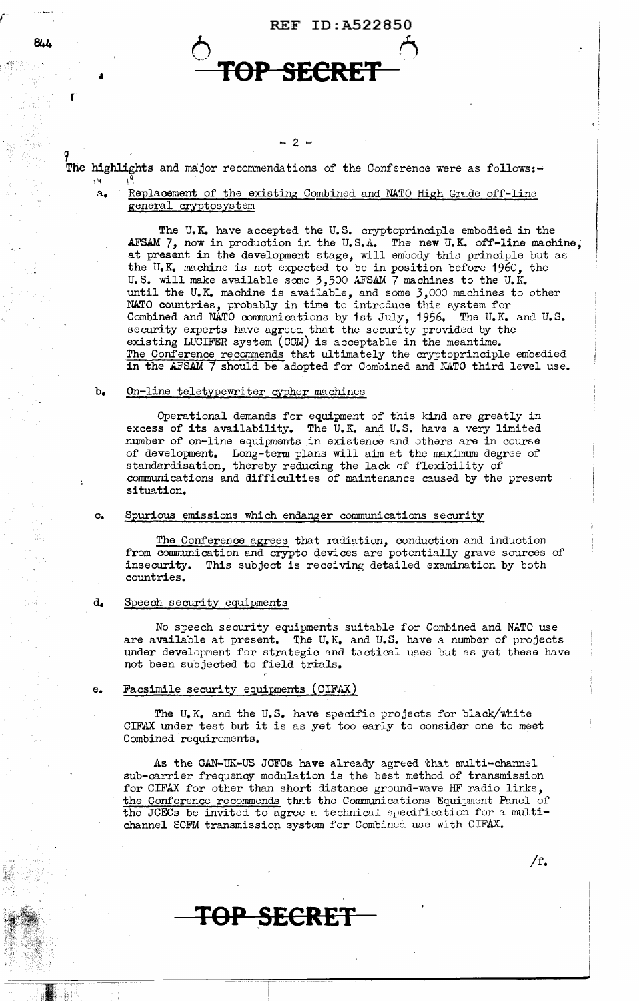

# $- 2 -$

The highlights and major recommendations of the Conference were as follows:- $\cdots$ 

# a. Replacement of the existing Combined and NATO High Grade off-line general cryptosystem

The U,K. have accepted the U.S. cryptoprinciple embodied in the AFSAM  $7$ , now in production in the U.S.A. The new U.K. off-line machine, at present in the development stage, will embody this principle but as the U.K. machine is not expected to be in position before 1960, the U.S. will make available some  $3,500$  AFSAM  $\overline{7}$  machines to the U.K. until the U.K. machine is available, and some *3,000* machines to other N&TO countries, probably in time to introduce this system for Combined and NATO communications by 1st July, 1956. The U.K. and U.S. security experts have agreed that the security provided by the existing LUCIFER system (CCM) is acceptable in the meantime. The Conference recommends that ultimately the cryptoprinciple embedied in the AFSAM 7 should be adopted for Combined and NATO third level use.

## b. On-line teletypewriter cypher machines

Operational demands for equipment of this kind are greatly in excess of its availability. The U,K, and U.S. have a very limited number of on-line equipments in existence and others are in course of development. Long-term plans will aim at the maximum degree of standardisation, thereby reducing the lack of flexibility of communications and difficulties of maintenance caused by the present situation,

### c. Spurious emissions which endanger communications security

The Conference agrees that radiation, conduction and induction from communication and crypto devices are potentially grave sources of insecurity, This subject is receiving detailed examination by both countries,

## d. Speech security equipments

No speech security equipments suitable for Combined and NATO use are available at present. The U.K. and U.S. have a number of projects under development for strategic and tactical uses but as yet these have not been subjected to field trials,

# e. Facsimile security equipments (CIFAX)

The U.K. and the U.S. have specific projects for black/white CIFAX under test but it is as yet too early to consider one to meet Combined requirements.

As the CAN-UK-US JCFCs have already agreed that multi-channel sub-carrier frequency modulation is the best method of transmission for CIFAX for other than short distance ground-wave HF radio links, the Conference recommends that the Communications Equipment Panel of the JCECs be invited to agree a technical specification for a multichannel SCFM transmission system for Combined use with CIFAX.

/f.

# **TOP SECRET**

(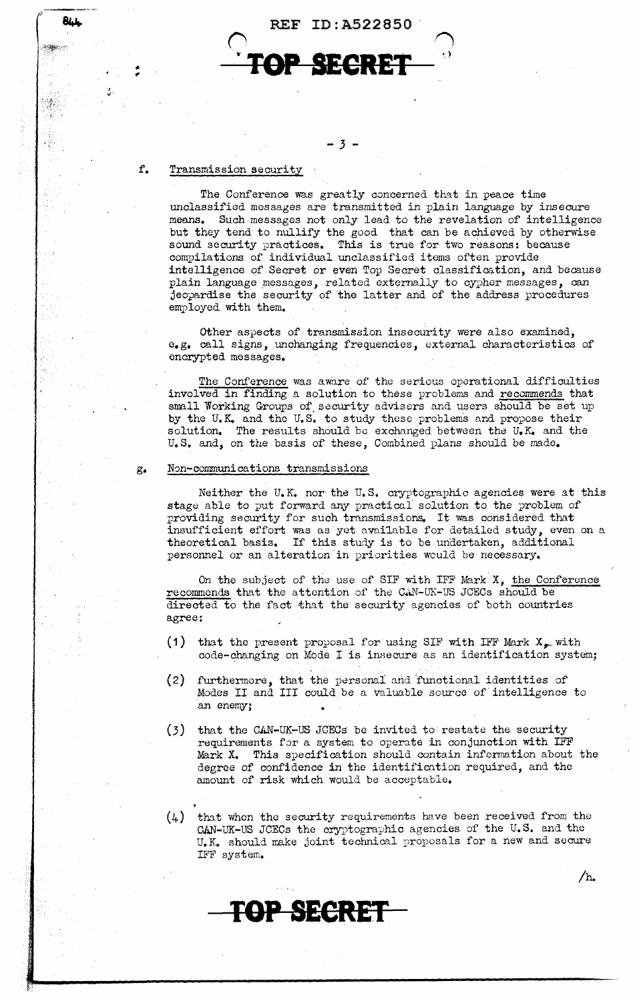



- *3* -

## f. Transmission security

**RILL** 

The Conference was greatly concerned that in peace time unclassified messages are transmitted in plain language by insecure means. Such messages not only lead to the revelation of intelligence but they tend to nullify the good that can be achieved by otherwise sound security practices. This is true for two reasons: because compilations of individual unclassified items often provide intelligence of Secret or even Top Secret classification, and because plain language messages, related externaily to cypher messages, can jeopardise the security of the latter and of the address procedures employed with them.

Other aspects of transmission insecurity were also examined, e.g. call signs, unchanging frequencies, external characteristics of encrypted messages.

The Conference was aware of the serious operational difficulties involved in finding a solution to these problems and recommends that small Working Groups of security advisers and users should be set up by the U.K. and the U.S. to study these problems and propose their solution. The results should be exchanged between the  $U_nK_n$  and the U.S. and, on the basis of these, Combined plans should be made.

## g. N~n-communications transmissions

Neither the U.K. nor the U.S. cryptographic agencies were at this stage able to put forward any practical solution to the problem of providing security for such transmissions. It was considered that insufficient effort was as yet avai1able for detailed study, even on a theoretical basis. If this study is to be undertaken, additional personnel or an alteration in priorities would be necessary.

On the subject of the use of SIF with IFF Mark  $X$ , the Conference recommends that the attention of the CAN-UK-US JCECs should be directed to the fact that the security agencies of both countries agree:

- (1) that the present proposal for using SIF with IFF Mark  $X_{\bullet}$  with code-changing on Mode I is insecure as an identification system;
- ( 2) furthermore, that the personal arid 'functional identities of Modes II and III could be a valuable source of intelligence to an enemy;
- (3) that the CAN-UK-US JCECs be invited to restate the security requirements for a system to operate in conjunction with IFF Mark X. This specification should contain information about the degree of confidence in the identification required, and the amount of risk which would be acceptable,
- $(4)$  that when the security requirements have been received from the CAN-UK-US JCECs the cryptographic agencies of the U.S. and the U.K. should make joint technical rroposals for a new and secure IFF system,

**TOP SECREF** 

/h.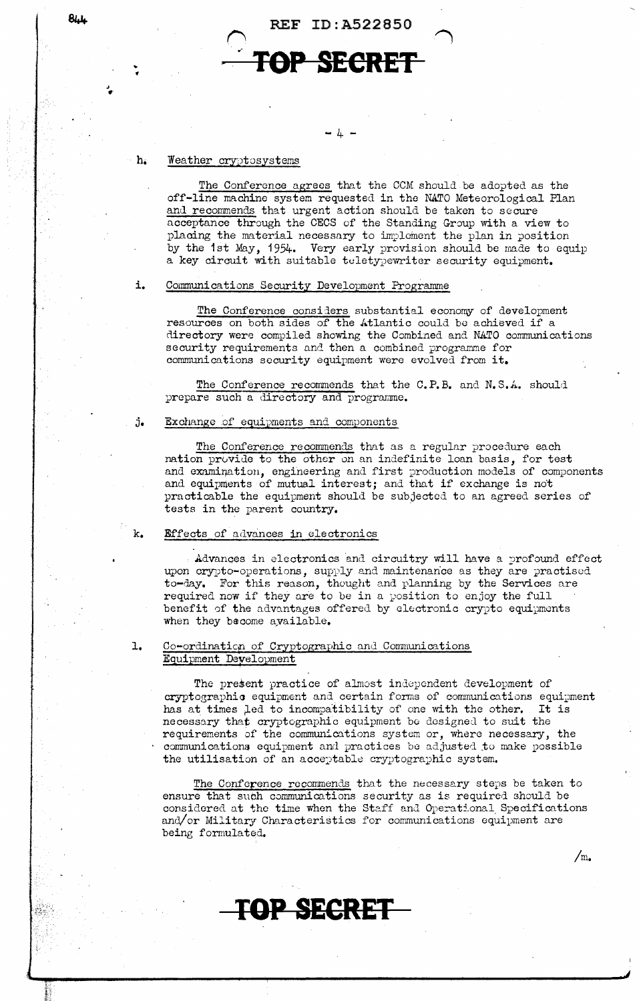

#### Weather cryptosystems  $h<sub>i</sub>$

**844** 

The Conference agrees that the CCM should be adopted as the off-line machine system requested in the NATO Meteorological Plan and recommends that urgent action should be taken to secure acceptance through the CECS of the Standing Group with a view to placing the material necessary to implement the plan in position by the 1st May, 1954. Very early provision should be made to equip a key circuit with suitable teletypewriter security equipment.

#### $\mathbf{1}$ . Communications Security Development Programme

The Conference considers substantial economy of development resources on both sides of the Atlantic could be achieved if a directory were compiled showing the Combined and NATO communications security requirements and then a combined programme for communications security equipment were evolved from it.

The Conference recommends that the C.P.B. and N.S.A. should prepare such a directory and programme.

#### Exchange of equipments and components j.

The Conference recommends that as a regular procedure each nation provide to the other on an indefinite loan basis, for test and examination, engineering and first production models of components and equipments of mutual interest; and that if exchange is not practicable the equipment should be subjected to an agreed series of tests in the parent country.

#### Effects of advances in electronics k.

Advances in electronics and circuitry will have a profound effect upon crypto-operations, supply and maintenance as they are practised to-day. For this reason, thought and planning by the Services are required now if they are to be in a position to enjoy the full benefit of the advantages offered by electronic crypto equipments when they become available.

#### $\mathbf{L}$ Co-ordination of Cryptographic and Communications Equipment Development

**TOP SECRET** 

The present practice of almost independent development of cryptographic equipment and certain forms of communications equipment has at times led to incompatibility of one with the other. It is necessary that cryptographic equipment be designed to suit the requirements of the communications system or, where necessary, the communications equipment and practices be adjusted to make possible the utilisation of an acceptable cryptographic system.

The Conference recommends that the necessary steps be taken to ensure that such communications security as is required should be considered at the time when the Staff and Operational Specifications and/or Military Characteristics for communications equipment are being formulated.

 $/m_{\bullet}$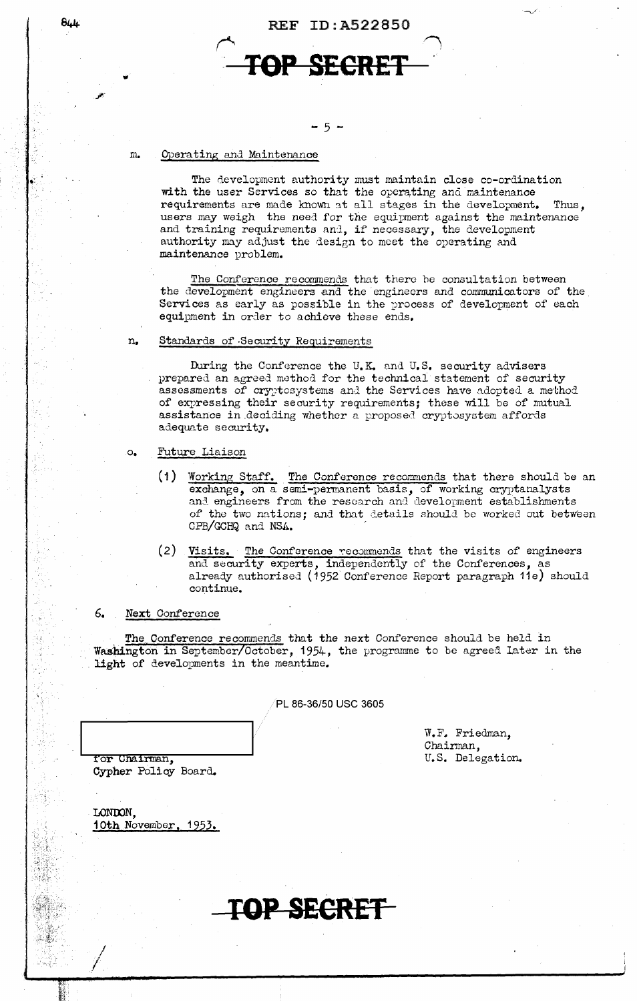REF ID:A522850

# **l'OP SECRET**

# $-5 -$

#### *m.*  Operating and Maintenance

The development authority must maintain close co-ordination with the user Services so that the operating and maintenance requirements are made known at all stages in the development. Thus, users may weigh the need for the equipment against the maintenance and training requirements and, if necessary, the development authority may adjust the design to meet the operating and maintenance problem.

The Conference recommends that there be consultation between the development engineers and the engineers and communicators of the Services as early as possible in the process of development of each equipment in order to achieve these ends.

## n. Standards of Security Requirements

During the Conference the U.K. and U.S. security advisers prepared an agreed method for the technical statement of security assessments of cryptosystems and the Services have adopted a method of expressing their security requirements; these will be of mutual assistance in deciding whether a proposed cryptosystem affords adequate security.

- o. Future Liaison
	- (1) Working Staff. The Conference recommends that there should be an exchange, on a semi-permanent basis, of working cryptanalysts and engineers from the research and development establishments of the two nations; and that details should be worked out between CPB/GCHQ and NSA.
	- $(2)$  Visits. The Conference recommends that the visits of engineers and security experts, independently of the Conferences, as already authorised (1952 Conference Report paragraph 11e) should continue.

# 6. Next Conference

The Conference recommends that the next Conference should be held in Washington in September/October, 1954, the programme to be agreed later in the light of developments in the meantime.

PL 86-36/50 USC 3605

W.F. Friedman. Chairman, U.S. Delegation.

for Chairman. Cypher Policy Board.

| LONDON.                     |  |
|-----------------------------|--|
| <u>10th November, 1953.</u> |  |
|                             |  |

I /

**TOP SE£RET** 

 $844$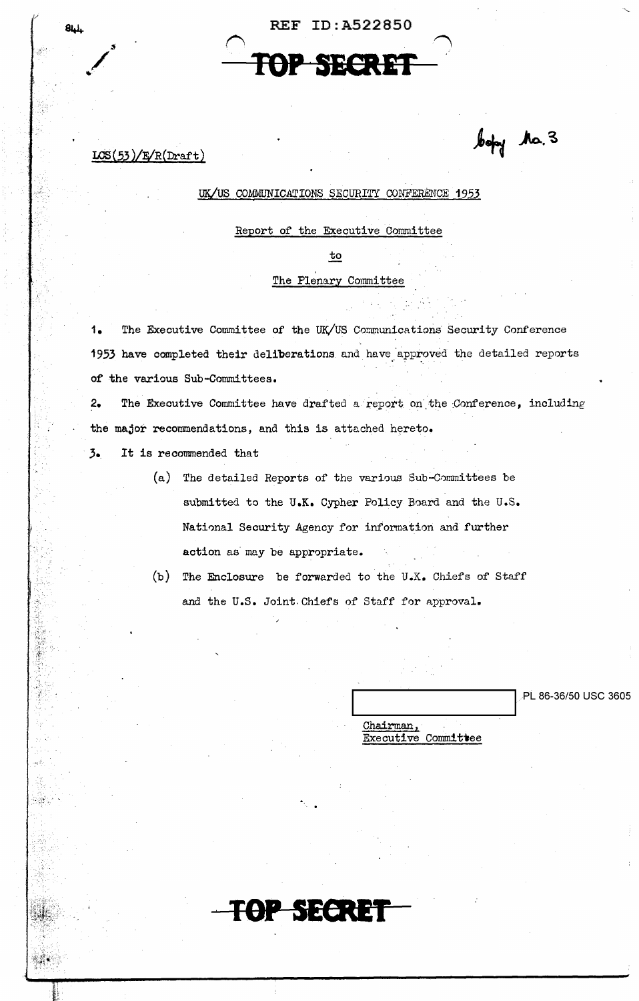|  | REF ID: A522850 |  |
|--|-----------------|--|
|  |                 |  |
|  | TOP SECRET      |  |
|  |                 |  |

 $LCS(53)/E/R(Draft)$ 

**844** 

# UK/US COMMUNICATIONS SECURITY CONFERENCE 1953

Report of the Executive Committee

to

# The Plenary Committee

1. The Executive Committee of the UK/US Communications Security Conference 1953 have completed their deliberations and have approved the detailed reports of the various Sub-Committees.

2. The Executive Committee have drafted a report on the Conference, including the major recommendations, and this is attached hereto.

*,3.* It is recommended that

(a) The detailed Reports of the various Sub-C0mmittees be submitted to the U.K. Cypher Policy Board and the U.S. National Security Agency for information and further action as may be appropriate.

(b) The Enclosure be forwarded to the U.K. Chiefs *of* Staff and the U.S. Joint Chiefs of Staff for approval.

**TOP SECRET** 

PL 86-36/50 USC 3605 Chairman, Executive Committee

bofy the. 3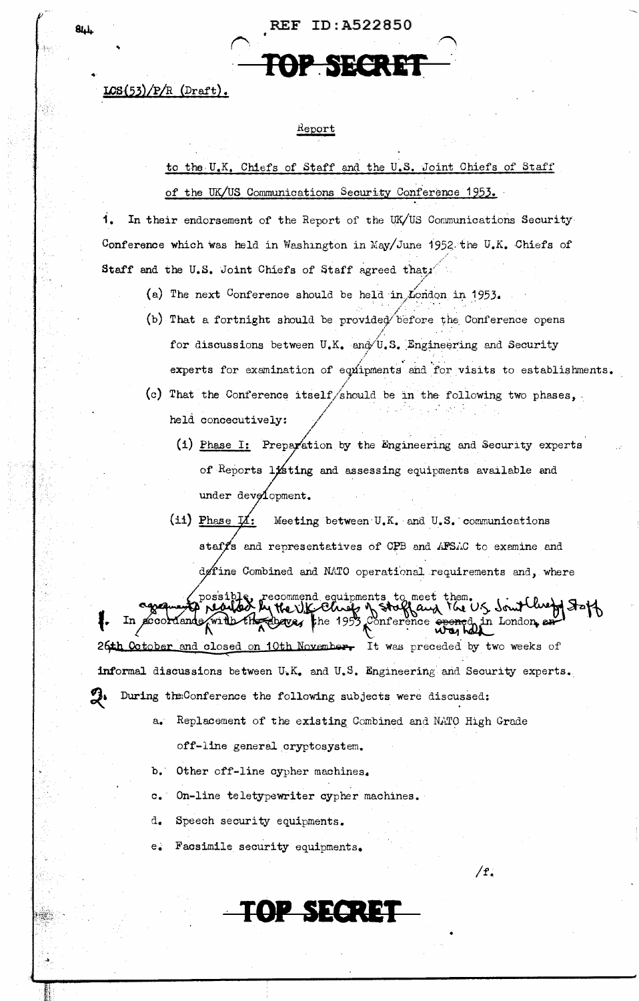$LOS(53)/P/R$  (Draft).

# Report

H

to the U.K. Chiefs of Staff and the U.S. Joint Chiefs of Staff of the UK/US Communications Security Conference 1953.

1. In their endorsement of the Report of the UK/US Communications Security Conference which was held in Washington in May/June 1952 the U.K. Chiefs of Staff and the U.S. Joint Chiefs of Staff agreed that,

- (a) The next Conference should be held in London in 1953.
- (b) That a fortnight should be provided before the Conference opens for discussions between U.K. and U.S. Engineering and Security experts for examination of equipments and for visits to establishments.
- (c) That the Conference itself/should be in the following two phases, held concecutively:
	- (i) Phase I: Preparation by the Engineering and Security experts of Reports listing and assessing equipments available and under development.
	- $(i)$  Phase  $\vec{\mu}$ : Meeting between U.K. and U.S. communications staffs and representatives of CPB and AFSAC to examine and define Combined and NATO operational requirements and, where

possible, recommend equipments to meet them.<br>I **realed by the U.K. Cheep of Stoffaux** the U.S. Sout Cheep Stof opened in London 26th October and closed on 10th November. It was preceded by two weeks of informal discussions between U.K. and U.S. Engineering and Security experts. During the Conference the following subjects were discussed:

- a. Replacement of the existing Combined and NATO High Grade off-line general cryptosystem.
- Other off-line cypher machines. ъ.:
- On-line teletypewriter cypher machines.  $\circ$ .
- Speech security equipments. d.
- Facsimile security equipments.  $e_{\bullet}$

TOP SECRET

 $/f$ .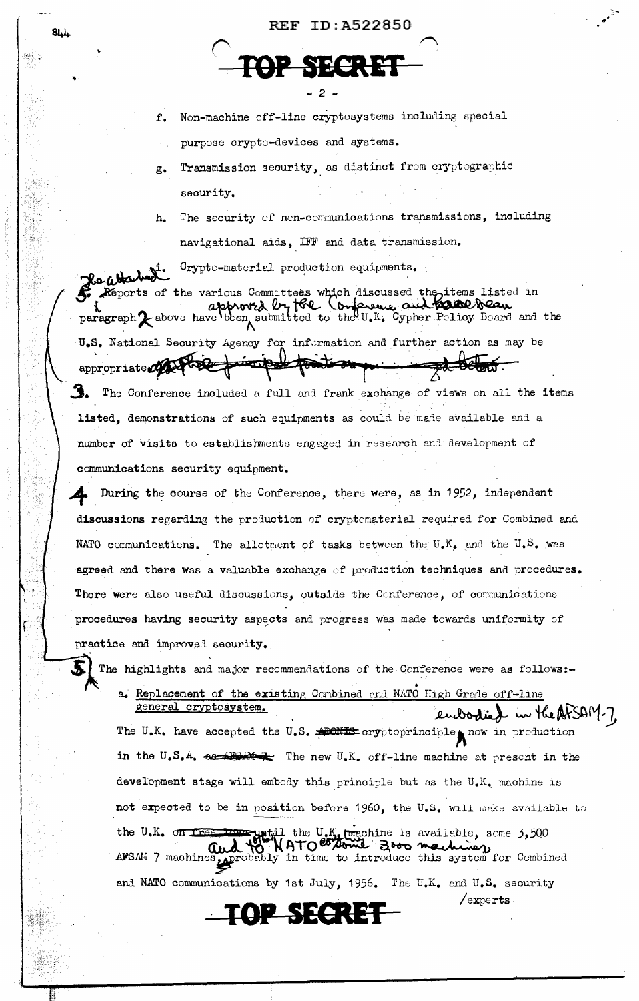# **REF ID: A522850**



Non-machine off-line cryptosystems including special  $f_{\star}$ 

purpose crypto-devices and systems.

Transmission security, as distinct from cryptographic  $g_{\bullet}$ security.

The security of non-communications transmissions, including  $h_{\bullet}$ navigational aids, IFF and data transmission.

Crypto-material production equipments. Rechtsched Reports of the various Committees which discussed the items listed in approved by the Conference and **hadde beau**<br>paragraph Labove have been submitted to the U.K. Cypher Policy Board and the U.S. National Security Agency for information and further action as may be appropriate MA to be principal position The Conference included a full and frank exchange of views on all the items listed, demonstrations of such equipments as could be made available and a number of visits to establishments engaged in research and development of

communications security equipment.

During the course of the Conference, there were, as in 1952, independent discussions regarding the production of cryptomaterial required for Combined and NATO communications. The allotment of tasks between the U.K. and the U.S. was agreed and there was a valuable exchange of production techniques and procedures. There were also useful discussions, outside the Conference, of communications procedures having security aspects and progress was made towards uniformity of practice and improved security.

The highlights and major recommendations of the Conference were as follows:-

a. Replacement of the existing Combined and NATO High Grade off-line general cryptosystem. embodied in the AtSAM-7.

The U.K. have accepted the U.S. APONES cryptoprinciple now in production in the U.S.A.  $\alpha$  -Henew U.K. off-line machine at present in the development stage will embody this principle but as the U.K. machine is not expected to be in position before 1960, the U.S. will make available to the U.K. on Tree to regist the U.K. (machine is available, some 3,500 and  $\begin{pmatrix} 0 & \sqrt{10} & \sqrt{10} & \sqrt{10} & \sqrt{10} & \sqrt{10} & \sqrt{10} & \sqrt{10} & \sqrt{10} & \sqrt{10} & \sqrt{10} & \sqrt{10} & \sqrt{10} & \sqrt{10} & \sqrt{10} & \sqrt{10} & \sqrt{10} & \sqrt{10} & \sqrt{10} & \sqrt{10} & \sqrt{10$ and NATO communications by 1st July, 1956. The U.K. and U.S. security

 $/$ experts

# OP SECRE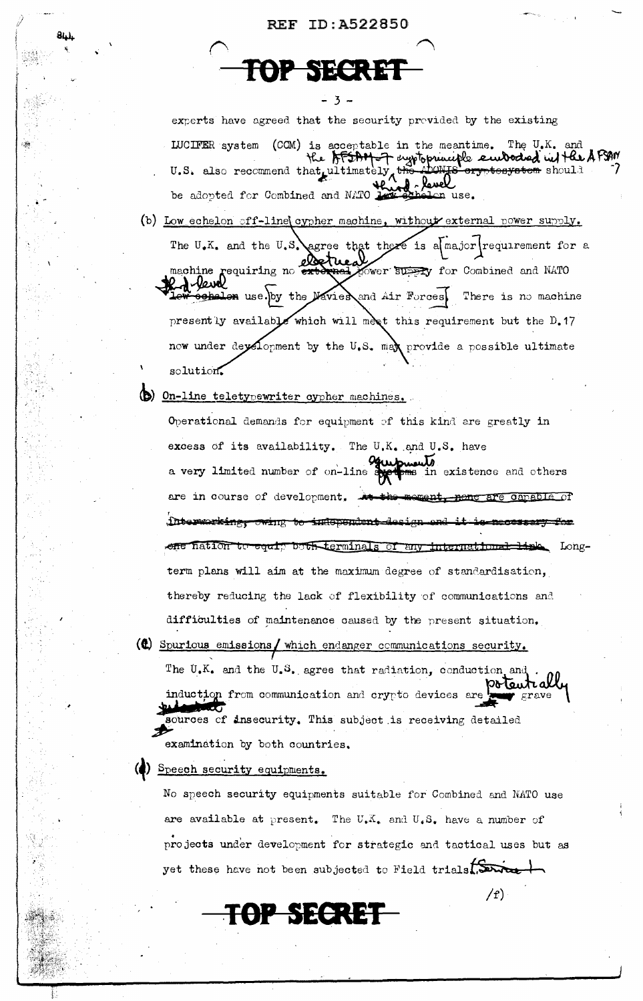# REF ID: A522850

 $-3 -$ 

SECRET

84.)

experts have agreed that the security provided by the existing LUCIFER system (CCM) is acceptable in the meantime. The U.K. and the AFSAM-7 exptoprinciple embodied in the AFSAM U.S. also recommend that ultimately the <del>rtenvatem</del> should be adopted for Combined and NATO Lon use.

- (b) Low echelon off-line cypher machine, without external power supply. The U.K. and the U.S. agree that there is a major requirement for a machine requiring no external Yower Supply for Combined and NATO A Vewal endlen use. by the Navier and Air Forces. There is no machine presently available which will meet this requirement but the D.17 now under deyelopment by the U.S. max provide a possible ultimate solution.
- (b) On-line teletypewriter cypher mechines.

Operational demands for equipment of this kind are greatly in excess of its availability. The U.K. and U.S. have a very limited number of on-line of in existence and others are in course of development. neme are capable of ment. interworking, owing to independent design ene hation to equip both terminals of any international link Longterm plans will aim at the maximum degree of standardisation, thereby reducing the lack of flexibility of communications and difficulties of maintenance caused by the present situation.

(c) Spurious emissions/ which endanger communications security. The U.K. and the U.S. agree that radiation, conduction and poteutrall induction from communication and crypto devices are  $grave$ sources of insecurity. This subject is receiving detailed examination by both countries.

) Speech security equipments.

No speech security equipments suitable for Combined and NATO use are available at present. The  $U_{\bullet}\bar{X}_{\bullet}$  and  $U_{\bullet}S_{\bullet}$  have a number of projects under development for strategic and tactical uses but as yet these have not been subjected to Field trials.

 $f(r)$ 

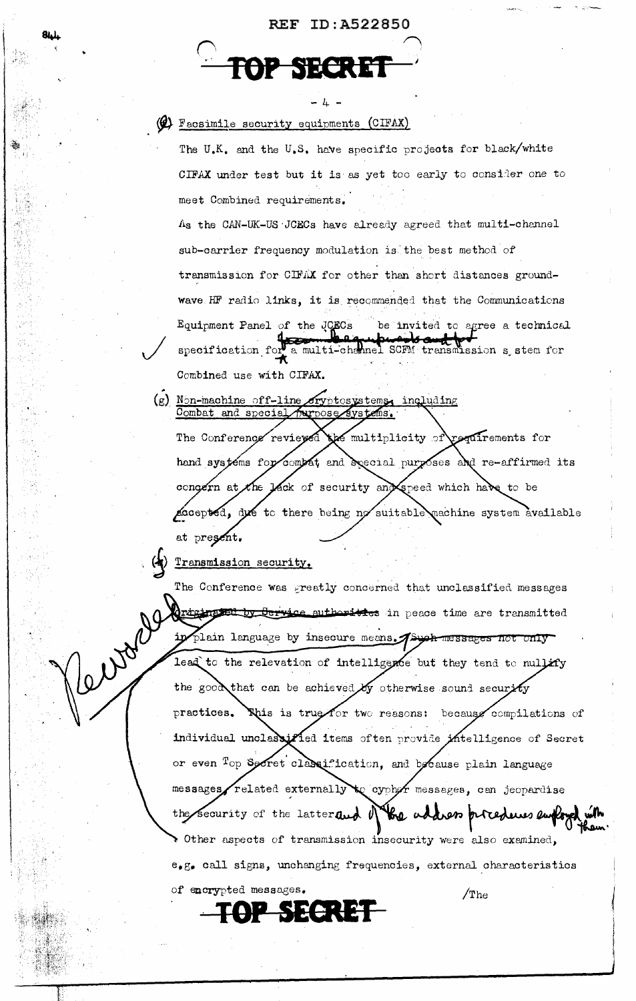- 4 -

# (cIFAX) Facsimile security equipments (CIFAX)

The U.K. and the U.S. have specific projects for black/white CIFAX under test but it is as yet too early to consider one to meet Combined requirements. As the CAN-UK-US JCECs have already agreed that multi-channel sub-carrier frequency modulation is the best method of transmission for CIFAX for other than short distances groundwave HF radio links, it is recommended that the Communications Equipment Panel of the JCECs be invited to agree a technical

specification for a multi-channel SCFM transmission s stem for Combined use with CIFAX.

(g) Non-machine off-line cryptosystems, including a multiplicity of requirements for The Conference reviewed hand systems for compat and special purposes and re-affirmed its congern at the lack of security and speed which have to be Locepted, due to there being no suitable machine system available at present.

Transmission security.

12 Nyan

The Conference was preatly concerned that unclassified messages Originated by Service authorities in peace time are transmitted ip plain language by insecure means. A such messages not only lead to the relevation of intelligence but they tend to nullify the good that can be achieved by otherwise sound security This is true for two reasons: because compilations of practices. individual unclassified items often provide intelligence of Secret or even <sup>T</sup>op Sorret classification, and because plain language messages related externally to cyphor messages, can jeopardise the security of the latter and  $\theta$ the address procedures employed Other aspects of transmission insecurity were also examined, e, g. call signs, unchanging frequencies, external characteristics of encrypted messages.  $/$ The

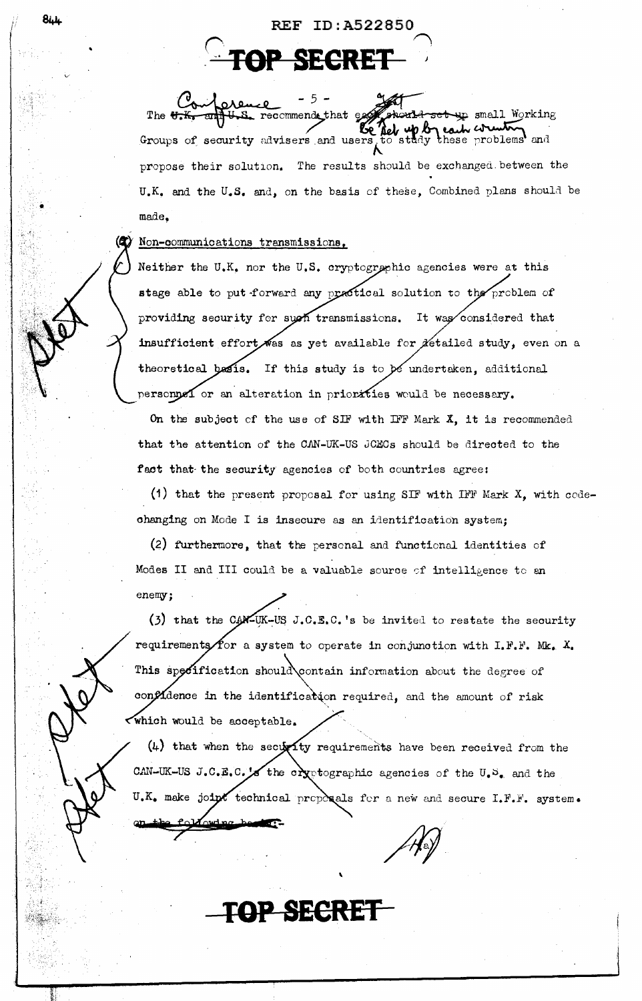Conference set up small Working The U.K U.S. recommende that ex Groups of security advisers and users to study these problems and propose their solution. The results should be exchanged between the U.K. and the U.S. and, on the basis of these, Combined plans should be made.

**REF ID:A522850** 

FOP SECRET

# Non-communications transmissions.

Neither the U.K. nor the U.S. cryptographic agencies were at this stage able to put forward any practical solution to the problem of providing security for such transmissions. It was considered that insufficient effort was as yet available for detailed study, even on a theoretical basis. If this study is to be undertaken, additional personnel or an alteration in priorities would be necessary.

On the subject of the use of SIF with IFF Mark  $X$ , it is recommended that the attention of the CAN-UK-US JCECs should be directed to the fact that the security agencies of both countries agree:

(1) that the present proposal for using SIF with IFF Mark  $X$ , with codechanging on Mode I is insecure as an identification system;

(2) furthermore, that the personal and functional identities of Modes II and III could be a valuable source of intelligence to an enemy:

(3) that the CAN-UK-US J.C.E.C.'s be invited to restate the security requirements for a system to operate in conjunction with  $I.F.F.$  Mk.  $X.$ This specification should contain information about the degree of confidence in the identification required, and the amount of risk which would be acceptable.

 $(4)$  that when the security requirements have been received from the CAN-UK-US J.C.E.C. X the cryptographic agencies of the U.S. and the U.K. make joint technical proposals for a new and secure I.F.F. system.

TOP SECRE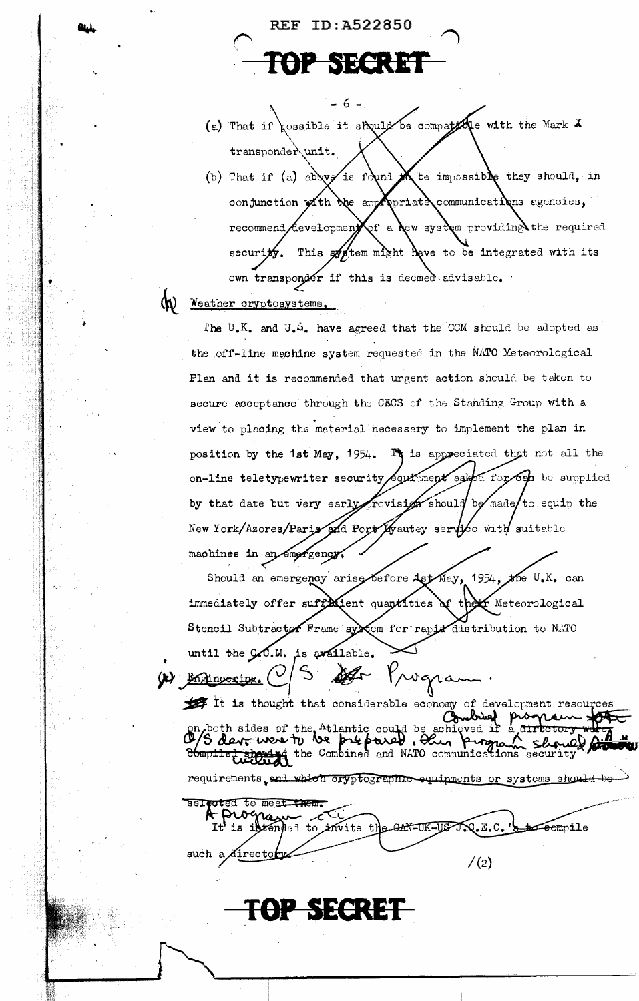REF ID: A522850

**NEGRE** 

 $-6-$ 

- kossible it should be compatedle with the Mark X  $(a)$  That if transponder unit.
- (b) That if (a) above is found be impossible they should, in communications agencies, conjunction with the app  $_{\rm{priat}}$ a of a new system providing the required developmenj recommend This system might have to be integrated with its securi own transponder if this is deemed advisable.

#### (K) Weather cryptosystems.

The U.K. and U.S. have agreed that the CCM should be adopted as the off-line machine system requested in the NATO Meteorological Plan and it is recommended that urgent action should be taken to secure acceptance through the CECS of the Standing Group with a view to placing the material necessary to implement the plan in position by the 1st May, 1954. It is appreciated that not all the od for och be supplied on-line teletypewriter security  ${\sf qu}$  men ${\sf k}$  ask by that date but very early provision should be made to equip the New York/Azores/Parix and Port/Kyautey service with suitable machines in an empression

Should an emergency arise before Ast May,  $\star$ he U.K. can  $1954,$ immediately offer sufficient quantities of the  $\boldsymbol{\mathfrak{\text{F}}}$  Meteorological Stencil Subtractor Frame system for rapid distribution to NATO is available. until the  $C_{\bullet}C_{\bullet}M_{\bullet}$ Progra (t) Engineering.

It is thought that considerable economy of development resources brief prog **Ch** on both sides of the "tlantic could be conjeved if trectory of a derr were TV ve prepared. Here program show nel for requirements, and which oryptographic equipments or systems should

selected to meet them. **t** Progre<br>It is inte CAN-UK-US tended to invite the  ${\mathsf Q}$ .E.C. <del>Teom</del>pile such a *A*irecto  $/(2)$ 

OP SECRET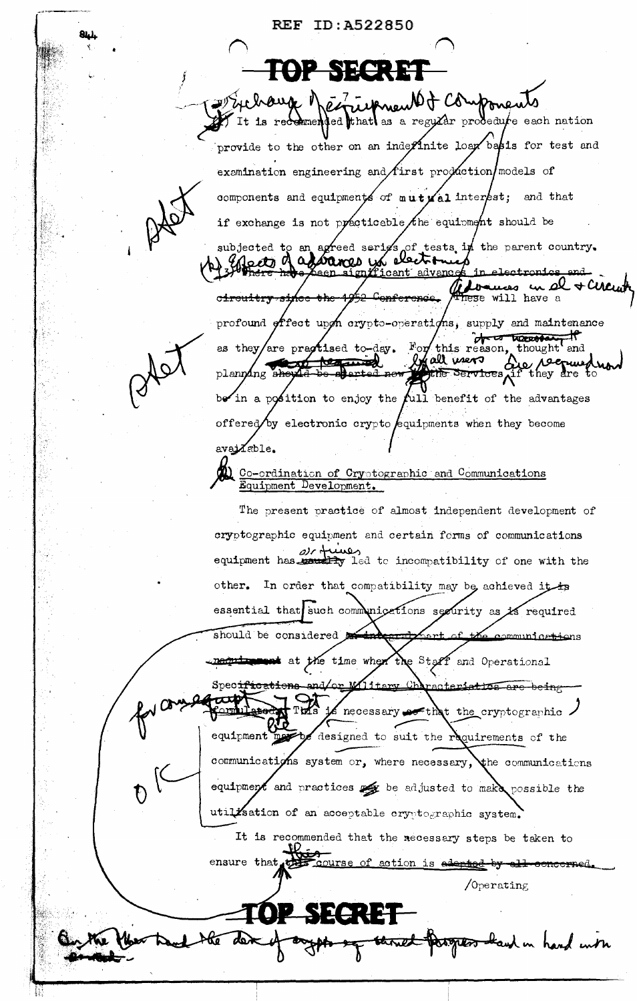**REF ID: A522850** <u>| ชู⇔ ; ] :e !</u> herrie Anew Of Componer a regular prodedute each nation It is recommended that as provide to the other on an indeplinite loan basis for test and examination engineering and first production models of components and equipments of  $m \mathbf{u} + \mathbf{y}$  al interest; and that if exchange is not practicable the equipment should be subjected to an agreed series of tests in the parent country.  $\epsilon$ tij d <u>advance</u> cant ces in el + CM ு C<del>onferenc</del>e tese will have a c<del>ircuitry si</del> profound offect upon crypto-operations, supply and maintenance of a treasured For this reason, thought as they/are practised to-day. and enall news  $\delta$ *pe رع* **Except** <del>kes</del> they dre planning <del>she</del> the Services di in a position to enjoy the full benefit of the advantages offered by electronic crypto equipments when they become availe. Co-ordination of Cryptographic and Communications Equipment Development. The present practice of almost independent development of cryptographic equipment and certain forms of communications  $\omega$ c d رىسىد equipment has would be incompatibility of one with the other. In order that compatibility may be achieved it is essential that such communications security as is required should be considered ammunice<del>tio</del>ns metric and the time when the Staff and Operational Specifications and/or acteriation are being Iitamv <u>tommitation</u> Turs necessary so that the cryptographic. equipment may designed to suit the requirements of the communications system or, where necessary, the communications equipment and practices  $\frac{1}{2}$  be adjusted to make possible the utilisation of an acceptable cryptographic system. It is recommended that the necessary steps be taken to ensure that to course of action is adapted by  $\sqrt{0}$  perating aw in hand with

81. L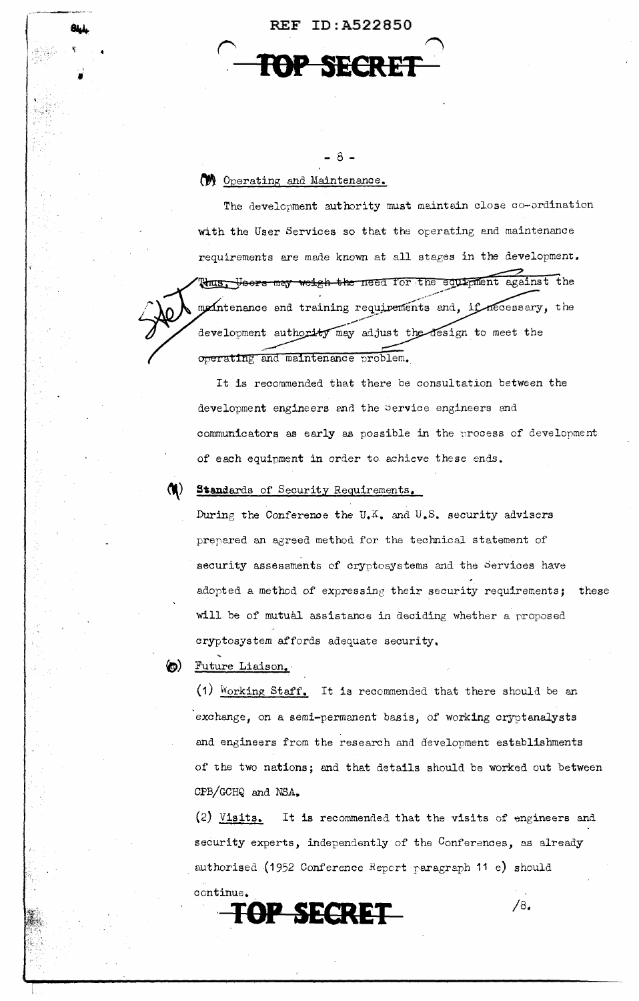REF ID:A522850  $\bigcap$ **SECRET** 

- 8 -

**W** Operating and Maintenance.

I

ĤĿ,

The development authority must maintain close co-ordination with the User Services so that the operating and maintenance requirements are made known at all stages in the development. thus. Heers may weigh the need for the equipment against the mointenance and training requirements and, if necessary, the development authority may adjust the design to meet the operating and maintenance problem.

It is recommended that there be consultation between the development engineers and the Service engineers and communicators as early as possible in the process of development of each equipment in order to achieve these ends.

# Standards of Security Requirements.

During the Conference the U.K. and U.S. security advisers prepared an agreed method for the technical statement of security assessments of cryptosystems and the Services have adopted a method of expressing their security requirements; these will be of mutual assistance in deciding whether a proposed cryptosystem affords adequate security,

# ~) Future Liaison.·

(1)  $Working Staff.$  It is recommended that there should be an exchange, on a semi-permanent basis, of working cryptanalysts and engineers from the research and development establishments of the two nations; and that details should be worked out between OPB/GCHQ and NSA,.

(2) Visits. It is recommended that the visits of engineers and security experts, independently of the Conferences, as already authorised (1952 Conference *Report* raragraph 11 e) should continue.